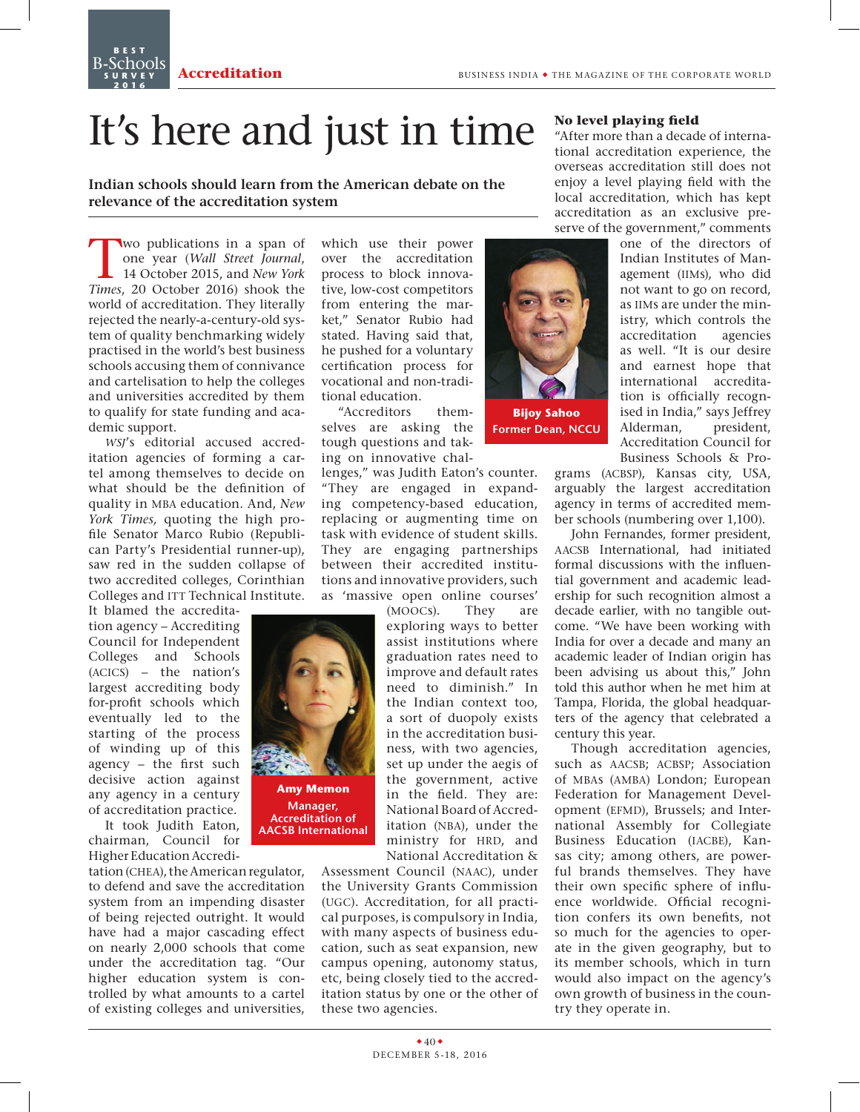**Best** B-Schools **s u r v e y 2016**



**Amy Memon Manager, Accreditation of AACSB International**

**Indian schools should learn from the American debate on the relevance of the accreditation system** 

Wo publications in a span of<br>
one year (Wall Street Journal,<br>
14 October 2015, and *New York*<br>
Times 20 October 2016) shook the one year (*Wall Street Journal*, *Times*, 20 October 2016) shook the world of accreditation. They literally rejected the nearly-a-century-old system of quality benchmarking widely practised in the world's best business schools accusing them of connivance and cartelisation to help the colleges and universities accredited by them to qualify for state funding and academic support.

*wsj*'s editorial accused accreditation agencies of forming a cartel among themselves to decide on what should be the definition of quality in mba education. And, *New York Times,* quoting the high profile Senator Marco Rubio (Republican Party's Presidential runner-up), saw red in the sudden collapse of two accredited colleges, Corinthian Colleges and ITT Technical Institute.

It blamed the accreditation agency – Accrediting Council for Independent Colleges and Schools (acics) – the nation's largest accrediting body for-profit schools which eventually led to the starting of the process of winding up of this agency – the first such decisive action against any agency in a century of accreditation practice.

It took Judith Eaton, chairman, Council for Higher Education Accredi-

tation (CHEA), the American regulator, to defend and save the accreditation system from an impending disaster of being rejected outright. It would have had a major cascading effect on nearly 2,000 schools that come under the accreditation tag. "Our higher education system is controlled by what amounts to a cartel of existing colleges and universities,

which use their power over the accreditation process to block innovative, low-cost competitors from entering the market," Senator Rubio had stated. Having said that, he pushed for a voluntary certification process for vocational and non-traditional education.

"Accreditors themselves are asking the tough questions and taking on innovative chal-

lenges," was Judith Eaton's counter. "They are engaged in expanding competency-based education, replacing or augmenting time on task with evidence of student skills. They are engaging partnerships between their accredited institutions and innovative providers, such as 'massive open online courses'

(moocs). They are exploring ways to better assist institutions where graduation rates need to improve and default rates need to diminish." In the Indian context too, a sort of duopoly exists in the accreditation business, with two agencies, set up under the aegis of the government, active in the field. They are: National Board of Accreditation (nba), under the ministry for HRD, and National Accreditation &

Assessment Council (naac), under the University Grants Commission (ugc). Accreditation, for all practical purposes, is compulsory in India, with many aspects of business education, such as seat expansion, new campus opening, autonomy status, etc, being closely tied to the accreditation status by one or the other of these two agencies.

# **No level playing field**

"After more than a decade of international accreditation experience, the overseas accreditation still does not enjoy a level playing field with the local accreditation, which has kept accreditation as an exclusive preserve of the government," comments



**Bijoy Sahoo Former Dean, Nccu**

one of the directors of Indian Institutes of Management (IIMs), who did not want to go on record, as IIMs are under the ministry, which controls the accreditation agencies as well. "It is our desire and earnest hope that international accreditation is officially recognised in India," says Jeffrey Alderman, president, Accreditation Council for Business Schools & Pro-

grams (ACBSP), Kansas city, USA, arguably the largest accreditation agency in terms of accredited member schools (numbering over 1,100).

John Fernandes, former president, aacsb International, had initiated formal discussions with the influential government and academic leadership for such recognition almost a decade earlier, with no tangible outcome. "We have been working with India for over a decade and many an academic leader of Indian origin has been advising us about this," John told this author when he met him at Tampa, Florida, the global headquarters of the agency that celebrated a century this year.

Though accreditation agencies, such as AACSB; ACBSP; Association of mbas (amba) London; European Federation for Management Development (EFMD), Brussels; and International Assembly for Collegiate Business Education (IACBE), Kansas city; among others, are powerful brands themselves. They have their own specific sphere of influence worldwide. Official recognition confers its own benefits, not so much for the agencies to operate in the given geography, but to its member schools, which in turn would also impact on the agency's own growth of business in the country they operate in.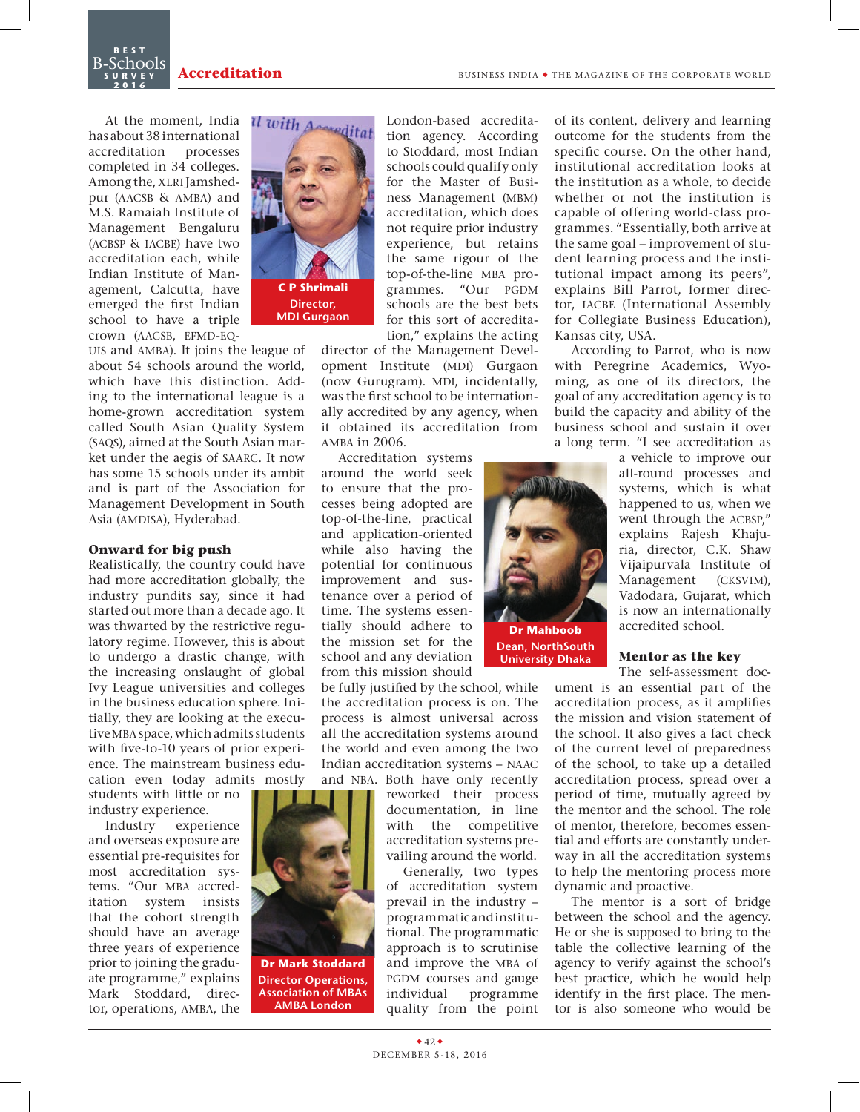At the moment, India has about 38 international accreditation processes completed in 34 colleges. Among the, XLRI Jamshedpur (AACSB & AMBA) and M.S. Ramaiah Institute of Management Bengaluru (acbsp & iacbe) have two accreditation each, while Indian Institute of Management, Calcutta, have emerged the first Indian school to have a triple crown (AACSB, EFMD-EQ-

**Best** B-Schools **s u r v e y 2016**

UIS and AMBA). It joins the league of about 54 schools around the world, which have this distinction. Adding to the international league is a home-grown accreditation system called South Asian Quality System (saqs), aimed at the South Asian market under the aegis of saarc. It now has some 15 schools under its ambit and is part of the Association for Management Development in South Asia (AMDISA), Hyderabad.

### **Onward for big push**

Realistically, the country could have had more accreditation globally, the industry pundits say, since it had started out more than a decade ago. It was thwarted by the restrictive regulatory regime. However, this is about to undergo a drastic change, with the increasing onslaught of global Ivy League universities and colleges in the business education sphere. Initially, they are looking at the executive MBA space, which admits students with five-to-10 years of prior experience. The mainstream business education even today admits mostly

students with little or no industry experience.

Industry experience and overseas exposure are essential pre-requisites for most accreditation systems. "Our MBA accreditation system insists that the cohort strength should have an average three years of experience prior to joining the graduate programme," explains Mark Stoddard, director, operations, amba, the



**MDI Gurgaon**

London-based accreditation agency. According to Stoddard, most Indian schools could qualify only for the Master of Business Management (mbm) accreditation, which does not require prior industry experience, but retains the same rigour of the top-of-the-line MBA programmes. "Our PGDM schools are the best bets for this sort of accreditation," explains the acting

director of the Management Development Institute (MDI) Gurgaon (now Gurugram). MDI, incidentally, was the first school to be internationally accredited by any agency, when it obtained its accreditation from amba in 2006.

Accreditation systems

around the world seek to ensure that the processes being adopted are top-of-the-line, practical and application-oriented while also having the potential for continuous improvement and sustenance over a period of time. The systems essentially should adhere to the mission set for the school and any deviation from this mission should

be fully justified by the school, while the accreditation process is on. The process is almost universal across all the accreditation systems around the world and even among the two Indian accreditation systems – naac and NBA. Both have only recently

reworked their process documentation, in line with the competitive accreditation systems prevailing around the world.

**Dr Mahboob Dean, NorthSouth University Dhaka**

Generally, two types of accreditation system prevail in the industry – programmatic and institutional. The programmatic approach is to scrutinise and improve the MBA of PGDM courses and gauge individual programme quality from the point of its content, delivery and learning outcome for the students from the specific course. On the other hand, institutional accreditation looks at the institution as a whole, to decide whether or not the institution is capable of offering world-class programmes. "Essentially, both arrive at the same goal – improvement of student learning process and the institutional impact among its peers", explains Bill Parrot, former director, IACBE (International Assembly for Collegiate Business Education), Kansas city, USA.

According to Parrot, who is now with Peregrine Academics, Wyoming, as one of its directors, the goal of any accreditation agency is to build the capacity and ability of the business school and sustain it over a long term. "I see accreditation as

> a vehicle to improve our all-round processes and systems, which is what happened to us, when we went through the ACBSP." explains Rajesh Khajuria, director, C.K. Shaw Vijaipurvala Institute of Management (cksvim), Vadodara, Gujarat, which is now an internationally accredited school.

# **Mentor as the key**

The self-assessment document is an essential part of the accreditation process, as it amplifies the mission and vision statement of the school. It also gives a fact check of the current level of preparedness of the school, to take up a detailed accreditation process, spread over a period of time, mutually agreed by the mentor and the school. The role of mentor, therefore, becomes essential and efforts are constantly underway in all the accreditation systems to help the mentoring process more dynamic and proactive.

The mentor is a sort of bridge between the school and the agency. He or she is supposed to bring to the table the collective learning of the agency to verify against the school's best practice, which he would help identify in the first place. The mentor is also someone who would be